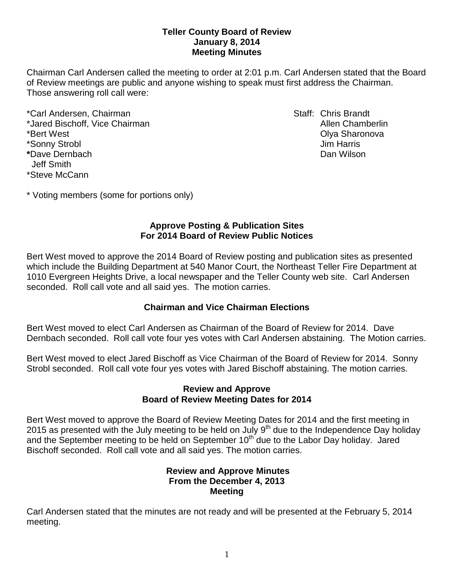## **Teller County Board of Review January 8, 2014 Meeting Minutes**

Chairman Carl Andersen called the meeting to order at 2:01 p.m. Carl Andersen stated that the Board of Review meetings are public and anyone wishing to speak must first address the Chairman. Those answering roll call were:

\*Carl Andersen, Chairman Staff: Chris Brandt \*Jared Bischoff, Vice Chairman Allen Chamberlin Allen Chamberlin \*Bert West Olya Sharonova \*Sonny Strobl Jim Harris **\***Dave Dernbach Dan Wilson Jeff Smith \*Steve McCann

\* Voting members (some for portions only)

## **Approve Posting & Publication Sites For 2014 Board of Review Public Notices**

Bert West moved to approve the 2014 Board of Review posting and publication sites as presented which include the Building Department at 540 Manor Court, the Northeast Teller Fire Department at 1010 Evergreen Heights Drive, a local newspaper and the Teller County web site. Carl Andersen seconded. Roll call vote and all said yes. The motion carries.

# **Chairman and Vice Chairman Elections**

Bert West moved to elect Carl Andersen as Chairman of the Board of Review for 2014. Dave Dernbach seconded. Roll call vote four yes votes with Carl Andersen abstaining. The Motion carries.

Bert West moved to elect Jared Bischoff as Vice Chairman of the Board of Review for 2014. Sonny Strobl seconded. Roll call vote four yes votes with Jared Bischoff abstaining. The motion carries.

## **Review and Approve Board of Review Meeting Dates for 2014**

Bert West moved to approve the Board of Review Meeting Dates for 2014 and the first meeting in 2015 as presented with the July meeting to be held on July 9<sup>th</sup> due to the Independence Day holiday and the September meeting to be held on September  $10<sup>th</sup>$  due to the Labor Day holiday. Jared Bischoff seconded. Roll call vote and all said yes. The motion carries.

# **Review and Approve Minutes From the December 4, 2013 Meeting**

Carl Andersen stated that the minutes are not ready and will be presented at the February 5, 2014 meeting.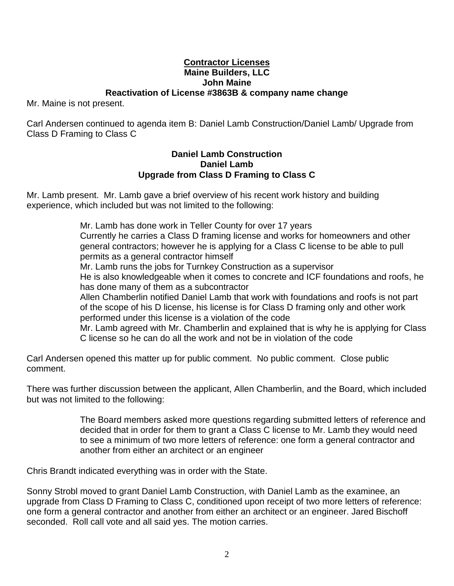### **Contractor Licenses Maine Builders, LLC John Maine Reactivation of License #3863B & company name change**

Mr. Maine is not present.

Carl Andersen continued to agenda item B: Daniel Lamb Construction/Daniel Lamb/ Upgrade from Class D Framing to Class C

#### **Daniel Lamb Construction Daniel Lamb Upgrade from Class D Framing to Class C**

Mr. Lamb present. Mr. Lamb gave a brief overview of his recent work history and building experience, which included but was not limited to the following:

> Mr. Lamb has done work in Teller County for over 17 years Currently he carries a Class D framing license and works for homeowners and other general contractors; however he is applying for a Class C license to be able to pull permits as a general contractor himself Mr. Lamb runs the jobs for Turnkey Construction as a supervisor He is also knowledgeable when it comes to concrete and ICF foundations and roofs, he has done many of them as a subcontractor Allen Chamberlin notified Daniel Lamb that work with foundations and roofs is not part of the scope of his D license, his license is for Class D framing only and other work performed under this license is a violation of the code Mr. Lamb agreed with Mr. Chamberlin and explained that is why he is applying for Class C license so he can do all the work and not be in violation of the code

Carl Andersen opened this matter up for public comment. No public comment. Close public comment.

There was further discussion between the applicant, Allen Chamberlin, and the Board, which included but was not limited to the following:

> The Board members asked more questions regarding submitted letters of reference and decided that in order for them to grant a Class C license to Mr. Lamb they would need to see a minimum of two more letters of reference: one form a general contractor and another from either an architect or an engineer

Chris Brandt indicated everything was in order with the State.

Sonny Strobl moved to grant Daniel Lamb Construction, with Daniel Lamb as the examinee, an upgrade from Class D Framing to Class C, conditioned upon receipt of two more letters of reference: one form a general contractor and another from either an architect or an engineer. Jared Bischoff seconded. Roll call vote and all said yes. The motion carries.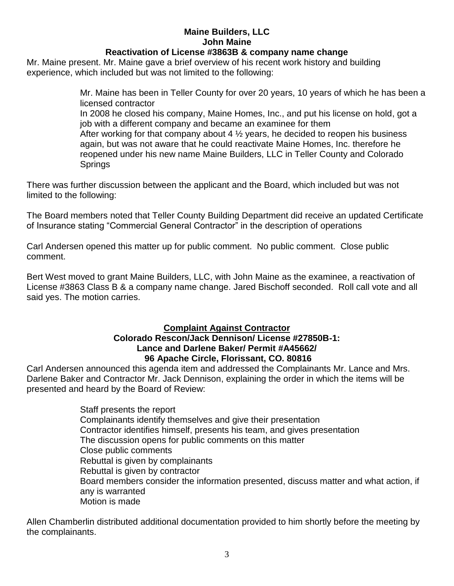# **Maine Builders, LLC John Maine**

## **Reactivation of License #3863B & company name change**

Mr. Maine present. Mr. Maine gave a brief overview of his recent work history and building experience, which included but was not limited to the following:

> Mr. Maine has been in Teller County for over 20 years, 10 years of which he has been a licensed contractor In 2008 he closed his company, Maine Homes, Inc., and put his license on hold, got a job with a different company and became an examinee for them After working for that company about 4  $\frac{1}{2}$  years, he decided to reopen his business again, but was not aware that he could reactivate Maine Homes, Inc. therefore he reopened under his new name Maine Builders, LLC in Teller County and Colorado **Springs**

There was further discussion between the applicant and the Board, which included but was not limited to the following:

The Board members noted that Teller County Building Department did receive an updated Certificate of Insurance stating "Commercial General Contractor" in the description of operations

Carl Andersen opened this matter up for public comment. No public comment. Close public comment.

Bert West moved to grant Maine Builders, LLC, with John Maine as the examinee, a reactivation of License #3863 Class B & a company name change. Jared Bischoff seconded. Roll call vote and all said yes. The motion carries.

# **Complaint Against Contractor**

## **Colorado Rescon/Jack Dennison/ License #27850B-1: Lance and Darlene Baker/ Permit #A45662/ 96 Apache Circle, Florissant, CO. 80816**

Carl Andersen announced this agenda item and addressed the Complainants Mr. Lance and Mrs. Darlene Baker and Contractor Mr. Jack Dennison, explaining the order in which the items will be presented and heard by the Board of Review:

> Staff presents the report Complainants identify themselves and give their presentation Contractor identifies himself, presents his team, and gives presentation The discussion opens for public comments on this matter Close public comments Rebuttal is given by complainants Rebuttal is given by contractor Board members consider the information presented, discuss matter and what action, if any is warranted Motion is made

Allen Chamberlin distributed additional documentation provided to him shortly before the meeting by the complainants.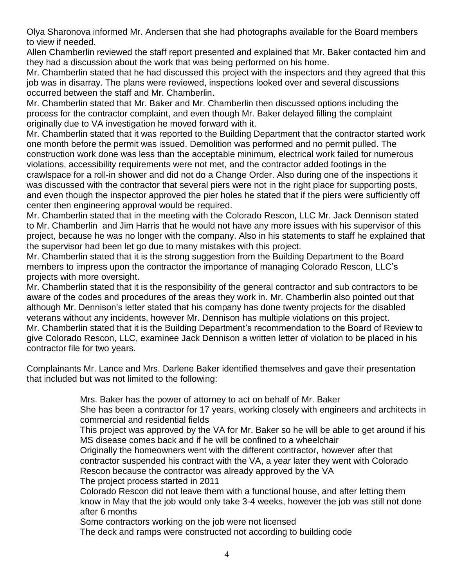Olya Sharonova informed Mr. Andersen that she had photographs available for the Board members to view if needed.

Allen Chamberlin reviewed the staff report presented and explained that Mr. Baker contacted him and they had a discussion about the work that was being performed on his home.

Mr. Chamberlin stated that he had discussed this project with the inspectors and they agreed that this job was in disarray. The plans were reviewed, inspections looked over and several discussions occurred between the staff and Mr. Chamberlin.

Mr. Chamberlin stated that Mr. Baker and Mr. Chamberlin then discussed options including the process for the contractor complaint, and even though Mr. Baker delayed filling the complaint originally due to VA investigation he moved forward with it.

Mr. Chamberlin stated that it was reported to the Building Department that the contractor started work one month before the permit was issued. Demolition was performed and no permit pulled. The construction work done was less than the acceptable minimum, electrical work failed for numerous violations, accessibility requirements were not met, and the contractor added footings in the crawlspace for a roll-in shower and did not do a Change Order. Also during one of the inspections it was discussed with the contractor that several piers were not in the right place for supporting posts, and even though the inspector approved the pier holes he stated that if the piers were sufficiently off center then engineering approval would be required.

Mr. Chamberlin stated that in the meeting with the Colorado Rescon, LLC Mr. Jack Dennison stated to Mr. Chamberlin and Jim Harris that he would not have any more issues with his supervisor of this project, because he was no longer with the company. Also in his statements to staff he explained that the supervisor had been let go due to many mistakes with this project.

Mr. Chamberlin stated that it is the strong suggestion from the Building Department to the Board members to impress upon the contractor the importance of managing Colorado Rescon, LLC's projects with more oversight.

Mr. Chamberlin stated that it is the responsibility of the general contractor and sub contractors to be aware of the codes and procedures of the areas they work in. Mr. Chamberlin also pointed out that although Mr. Dennison's letter stated that his company has done twenty projects for the disabled veterans without any incidents, however Mr. Dennison has multiple violations on this project. Mr. Chamberlin stated that it is the Building Department's recommendation to the Board of Review to give Colorado Rescon, LLC, examinee Jack Dennison a written letter of violation to be placed in his contractor file for two years.

Complainants Mr. Lance and Mrs. Darlene Baker identified themselves and gave their presentation that included but was not limited to the following:

Mrs. Baker has the power of attorney to act on behalf of Mr. Baker

She has been a contractor for 17 years, working closely with engineers and architects in commercial and residential fields

This project was approved by the VA for Mr. Baker so he will be able to get around if his MS disease comes back and if he will be confined to a wheelchair

Originally the homeowners went with the different contractor, however after that contractor suspended his contract with the VA, a year later they went with Colorado Rescon because the contractor was already approved by the VA

The project process started in 2011

Colorado Rescon did not leave them with a functional house, and after letting them know in May that the job would only take 3-4 weeks, however the job was still not done after 6 months

Some contractors working on the job were not licensed

The deck and ramps were constructed not according to building code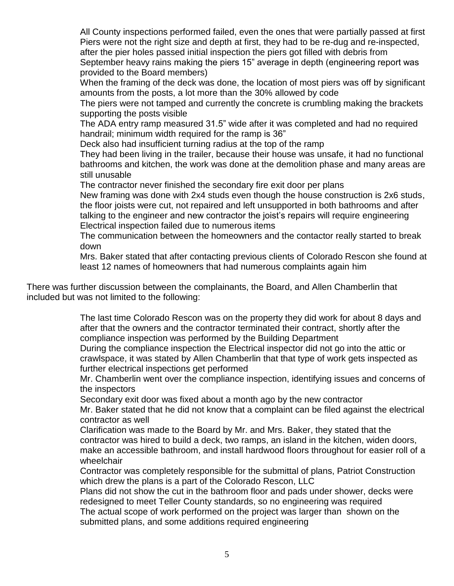All County inspections performed failed, even the ones that were partially passed at first Piers were not the right size and depth at first, they had to be re-dug and re-inspected, after the pier holes passed initial inspection the piers got filled with debris from September heavy rains making the piers 15" average in depth (engineering report was provided to the Board members)

When the framing of the deck was done, the location of most piers was off by significant amounts from the posts, a lot more than the 30% allowed by code

The piers were not tamped and currently the concrete is crumbling making the brackets supporting the posts visible

The ADA entry ramp measured 31.5" wide after it was completed and had no required handrail; minimum width required for the ramp is 36"

Deck also had insufficient turning radius at the top of the ramp

They had been living in the trailer, because their house was unsafe, it had no functional bathrooms and kitchen, the work was done at the demolition phase and many areas are still unusable

The contractor never finished the secondary fire exit door per plans

New framing was done with 2x4 studs even though the house construction is 2x6 studs, the floor joists were cut, not repaired and left unsupported in both bathrooms and after talking to the engineer and new contractor the joist's repairs will require engineering Electrical inspection failed due to numerous items

The communication between the homeowners and the contactor really started to break down

Mrs. Baker stated that after contacting previous clients of Colorado Rescon she found at least 12 names of homeowners that had numerous complaints again him

There was further discussion between the complainants, the Board, and Allen Chamberlin that included but was not limited to the following:

> The last time Colorado Rescon was on the property they did work for about 8 days and after that the owners and the contractor terminated their contract, shortly after the compliance inspection was performed by the Building Department

> During the compliance inspection the Electrical inspector did not go into the attic or crawlspace, it was stated by Allen Chamberlin that that type of work gets inspected as further electrical inspections get performed

Mr. Chamberlin went over the compliance inspection, identifying issues and concerns of the inspectors

Secondary exit door was fixed about a month ago by the new contractor

Mr. Baker stated that he did not know that a complaint can be filed against the electrical contractor as well

Clarification was made to the Board by Mr. and Mrs. Baker, they stated that the contractor was hired to build a deck, two ramps, an island in the kitchen, widen doors, make an accessible bathroom, and install hardwood floors throughout for easier roll of a wheelchair

Contractor was completely responsible for the submittal of plans, Patriot Construction which drew the plans is a part of the Colorado Rescon, LLC

Plans did not show the cut in the bathroom floor and pads under shower, decks were redesigned to meet Teller County standards, so no engineering was required The actual scope of work performed on the project was larger than shown on the submitted plans, and some additions required engineering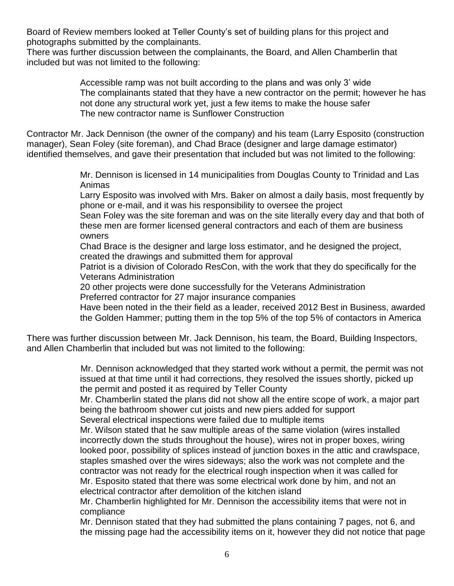Board of Review members looked at Teller County's set of building plans for this project and photographs submitted by the complainants.

There was further discussion between the complainants, the Board, and Allen Chamberlin that included but was not limited to the following:

> Accessible ramp was not built according to the plans and was only 3' wide The complainants stated that they have a new contractor on the permit; however he has not done any structural work yet, just a few items to make the house safer The new contractor name is Sunflower Construction

Contractor Mr. Jack Dennison (the owner of the company) and his team (Larry Esposito (construction manager), Sean Foley (site foreman), and Chad Brace (designer and large damage estimator) identified themselves, and gave their presentation that included but was not limited to the following:

> Mr. Dennison is licensed in 14 municipalities from Douglas County to Trinidad and Las Animas

Larry Esposito was involved with Mrs. Baker on almost a daily basis, most frequently by phone or e-mail, and it was his responsibility to oversee the project

Sean Foley was the site foreman and was on the site literally every day and that both of these men are former licensed general contractors and each of them are business owners

Chad Brace is the designer and large loss estimator, and he designed the project, created the drawings and submitted them for approval

Patriot is a division of Colorado ResCon, with the work that they do specifically for the Veterans Administration

20 other projects were done successfully for the Veterans Administration Preferred contractor for 27 major insurance companies

Have been noted in the their field as a leader, received 2012 Best in Business, awarded the Golden Hammer; putting them in the top 5% of the top 5% of contactors in America

There was further discussion between Mr. Jack Dennison, his team, the Board, Building Inspectors, and Allen Chamberlin that included but was not limited to the following:

> Mr. Dennison acknowledged that they started work without a permit, the permit was not issued at that time until it had corrections, they resolved the issues shortly, picked up the permit and posted it as required by Teller County

> Mr. Chamberlin stated the plans did not show all the entire scope of work, a major part being the bathroom shower cut joists and new piers added for support

Several electrical inspections were failed due to multiple items

Mr. Wilson stated that he saw multiple areas of the same violation (wires installed incorrectly down the studs throughout the house), wires not in proper boxes, wiring looked poor, possibility of splices instead of junction boxes in the attic and crawlspace, staples smashed over the wires sideways; also the work was not complete and the contractor was not ready for the electrical rough inspection when it was called for Mr. Esposito stated that there was some electrical work done by him, and not an electrical contractor after demolition of the kitchen island

Mr. Chamberlin highlighted for Mr. Dennison the accessibility items that were not in compliance

Mr. Dennison stated that they had submitted the plans containing 7 pages, not 6, and the missing page had the accessibility items on it, however they did not notice that page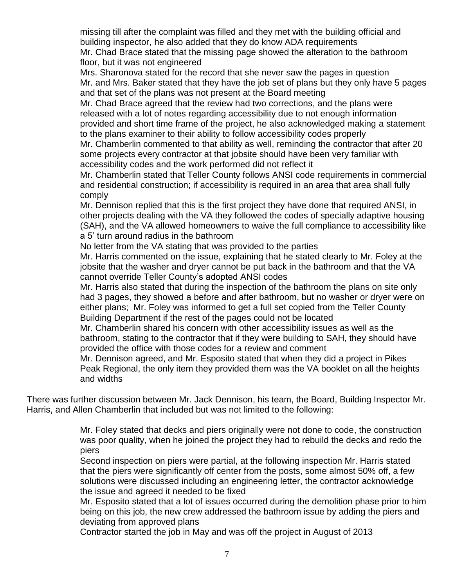missing till after the complaint was filled and they met with the building official and building inspector, he also added that they do know ADA requirements Mr. Chad Brace stated that the missing page showed the alteration to the bathroom floor, but it was not engineered

Mrs. Sharonova stated for the record that she never saw the pages in question Mr. and Mrs. Baker stated that they have the job set of plans but they only have 5 pages and that set of the plans was not present at the Board meeting

Mr. Chad Brace agreed that the review had two corrections, and the plans were released with a lot of notes regarding accessibility due to not enough information provided and short time frame of the project, he also acknowledged making a statement to the plans examiner to their ability to follow accessibility codes properly

Mr. Chamberlin commented to that ability as well, reminding the contractor that after 20 some projects every contractor at that jobsite should have been very familiar with accessibility codes and the work performed did not reflect it

Mr. Chamberlin stated that Teller County follows ANSI code requirements in commercial and residential construction; if accessibility is required in an area that area shall fully comply

Mr. Dennison replied that this is the first project they have done that required ANSI, in other projects dealing with the VA they followed the codes of specially adaptive housing (SAH), and the VA allowed homeowners to waive the full compliance to accessibility like a 5' turn around radius in the bathroom

No letter from the VA stating that was provided to the parties

Mr. Harris commented on the issue, explaining that he stated clearly to Mr. Foley at the jobsite that the washer and dryer cannot be put back in the bathroom and that the VA cannot override Teller County's adopted ANSI codes

Mr. Harris also stated that during the inspection of the bathroom the plans on site only had 3 pages, they showed a before and after bathroom, but no washer or dryer were on either plans; Mr. Foley was informed to get a full set copied from the Teller County Building Department if the rest of the pages could not be located

Mr. Chamberlin shared his concern with other accessibility issues as well as the bathroom, stating to the contractor that if they were building to SAH, they should have provided the office with those codes for a review and comment

Mr. Dennison agreed, and Mr. Esposito stated that when they did a project in Pikes Peak Regional, the only item they provided them was the VA booklet on all the heights and widths

There was further discussion between Mr. Jack Dennison, his team, the Board, Building Inspector Mr. Harris, and Allen Chamberlin that included but was not limited to the following:

> Mr. Foley stated that decks and piers originally were not done to code, the construction was poor quality, when he joined the project they had to rebuild the decks and redo the piers

Second inspection on piers were partial, at the following inspection Mr. Harris stated that the piers were significantly off center from the posts, some almost 50% off, a few solutions were discussed including an engineering letter, the contractor acknowledge the issue and agreed it needed to be fixed

Mr. Esposito stated that a lot of issues occurred during the demolition phase prior to him being on this job, the new crew addressed the bathroom issue by adding the piers and deviating from approved plans

Contractor started the job in May and was off the project in August of 2013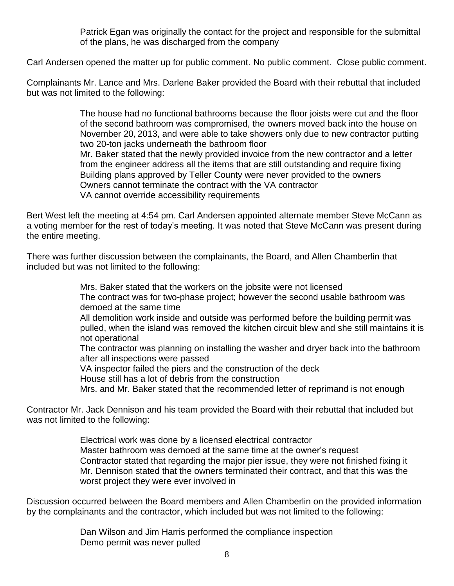Patrick Egan was originally the contact for the project and responsible for the submittal of the plans, he was discharged from the company

Carl Andersen opened the matter up for public comment. No public comment. Close public comment.

Complainants Mr. Lance and Mrs. Darlene Baker provided the Board with their rebuttal that included but was not limited to the following:

> The house had no functional bathrooms because the floor joists were cut and the floor of the second bathroom was compromised, the owners moved back into the house on November 20, 2013, and were able to take showers only due to new contractor putting two 20-ton jacks underneath the bathroom floor Mr. Baker stated that the newly provided invoice from the new contractor and a letter from the engineer address all the items that are still outstanding and require fixing Building plans approved by Teller County were never provided to the owners Owners cannot terminate the contract with the VA contractor VA cannot override accessibility requirements

Bert West left the meeting at 4:54 pm. Carl Andersen appointed alternate member Steve McCann as a voting member for the rest of today's meeting. It was noted that Steve McCann was present during the entire meeting.

There was further discussion between the complainants, the Board, and Allen Chamberlin that included but was not limited to the following:

> Mrs. Baker stated that the workers on the jobsite were not licensed The contract was for two-phase project; however the second usable bathroom was demoed at the same time All demolition work inside and outside was performed before the building permit was pulled, when the island was removed the kitchen circuit blew and she still maintains it is not operational The contractor was planning on installing the washer and dryer back into the bathroom after all inspections were passed VA inspector failed the piers and the construction of the deck House still has a lot of debris from the construction Mrs. and Mr. Baker stated that the recommended letter of reprimand is not enough

Contractor Mr. Jack Dennison and his team provided the Board with their rebuttal that included but was not limited to the following:

> Electrical work was done by a licensed electrical contractor Master bathroom was demoed at the same time at the owner's request Contractor stated that regarding the major pier issue, they were not finished fixing it Mr. Dennison stated that the owners terminated their contract, and that this was the worst project they were ever involved in

Discussion occurred between the Board members and Allen Chamberlin on the provided information by the complainants and the contractor, which included but was not limited to the following:

> Dan Wilson and Jim Harris performed the compliance inspection Demo permit was never pulled